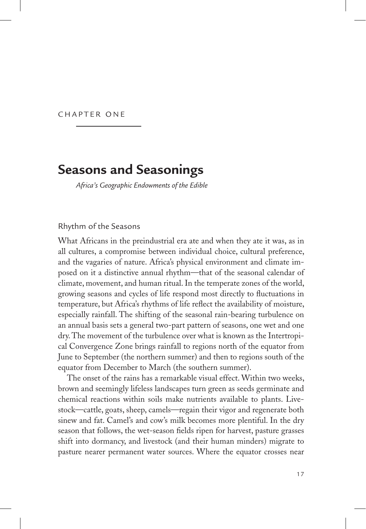CHAPTER ONE

# **Seasons and Seasonings**

*Africa's Geographic Endowments of the Edible*

#### Rhythm of the Seasons

What Africans in the preindustrial era ate and when they ate it was, as in all cultures, a compromise between individual choice, cultural preference, and the vagaries of nature. Africa's physical environment and climate imposed on it a distinctive annual rhythm—that of the seasonal calendar of climate, movement, and human ritual. In the temperate zones of the world, growing seasons and cycles of life respond most directly to fluctuations in temperature, but Africa's rhythms of life reflect the availability of moisture, especially rainfall. The shifting of the seasonal rain-bearing turbulence on an annual basis sets a general two-part pattern of seasons, one wet and one dry. The movement of the turbulence over what is known as the Intertropical Convergence Zone brings rainfall to regions north of the equator from June to September (the northern summer) and then to regions south of the equator from December to March (the southern summer).

The onset of the rains has a remarkable visual effect. Within two weeks, brown and seemingly lifeless landscapes turn green as seeds germinate and chemical reactions within soils make nutrients available to plants. Livestock—cattle, goats, sheep, camels—regain their vigor and regenerate both sinew and fat. Camel's and cow's milk becomes more plentiful. In the dry season that follows, the wet-season fields ripen for harvest, pasture grasses shift into dormancy, and livestock (and their human minders) migrate to pasture nearer permanent water sources. Where the equator crosses near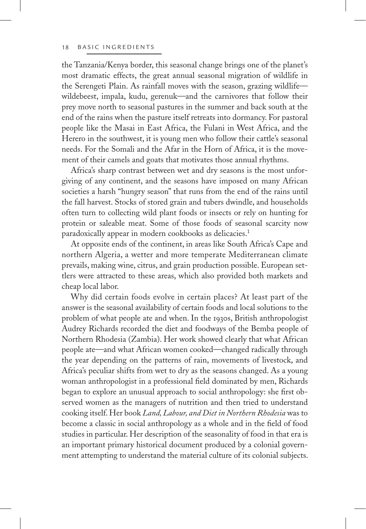the Tanzania/Kenya border, this seasonal change brings one of the planet's most dramatic effects, the great annual seasonal migration of wildlife in the Serengeti Plain. As rainfall moves with the season, grazing wildlife wildebeest, impala, kudu, gerenuk—and the carnivores that follow their prey move north to seasonal pastures in the summer and back south at the end of the rains when the pasture itself retreats into dormancy. For pastoral people like the Masai in East Africa, the Fulani in West Africa, and the Herero in the southwest, it is young men who follow their cattle's seasonal needs. For the Somali and the Afar in the Horn of Africa, it is the movement of their camels and goats that motivates those annual rhythms.

Africa's sharp contrast between wet and dry seasons is the most unforgiving of any continent, and the seasons have imposed on many African societies a harsh "hungry season" that runs from the end of the rains until the fall harvest. Stocks of stored grain and tubers dwindle, and households often turn to collecting wild plant foods or insects or rely on hunting for protein or saleable meat. Some of those foods of seasonal scarcity now paradoxically appear in modern cookbooks as delicacies.<sup>1</sup>

At opposite ends of the continent, in areas like South Africa's Cape and northern Algeria, a wetter and more temperate Mediterranean climate prevails, making wine, citrus, and grain production possible. European settlers were attracted to these areas, which also provided both markets and cheap local labor.

Why did certain foods evolve in certain places? At least part of the answer is the seasonal availability of certain foods and local solutions to the problem of what people ate and when. In the 1930s, British anthropologist Audrey Richards recorded the diet and foodways of the Bemba people of Northern Rhodesia (Zambia). Her work showed clearly that what African people ate—and what African women cooked—changed radically through the year depending on the patterns of rain, movements of livestock, and Africa's peculiar shifts from wet to dry as the seasons changed. As a young woman anthropologist in a professional field dominated by men, Richards began to explore an unusual approach to social anthropology: she first observed women as the managers of nutrition and then tried to understand cooking itself. Her book *Land, Labour, and Diet in Northern Rhodesia* was to become a classic in social anthropology as a whole and in the field of food studies in particular. Her description of the seasonality of food in that era is an important primary historical document produced by a colonial government attempting to understand the material culture of its colonial subjects.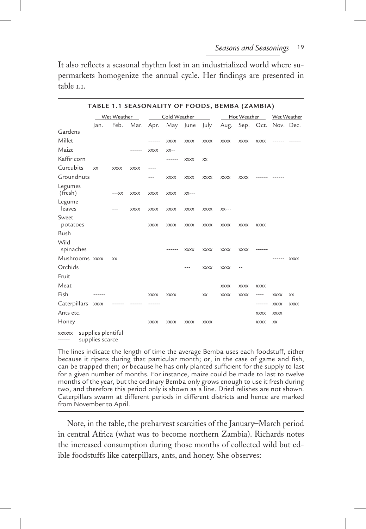It also reflects a seasonal rhythm lost in an industrialized world where supermarkets homogenize the annual cycle. Her findings are presented in table 1.1.

| TABLE 1.1 SEASONALITY OF FOODS, BEMBA (ZAMBIA) |                                       |             |             |              |             |               |             |             |                |             |             |             |
|------------------------------------------------|---------------------------------------|-------------|-------------|--------------|-------------|---------------|-------------|-------------|----------------|-------------|-------------|-------------|
|                                                | Wet Weather                           |             |             | Cold Weather |             |               | Hot Weather |             |                | Wet Weather |             |             |
|                                                | lan.                                  | Feb.        | Mar.        |              |             | Apr. May June | July        |             | Aug. Sep. Oct. |             |             | Nov. Dec.   |
| Gardens                                        |                                       |             |             |              |             |               |             |             |                |             |             |             |
| Millet                                         |                                       |             |             | ------       | <b>XXXX</b> | <b>XXXX</b>   | <b>XXXX</b> | <b>XXXX</b> | <b>XXXX</b>    | <b>XXXX</b> |             |             |
| Maize                                          |                                       |             | ------      | <b>XXXX</b>  | $XX--$      |               |             |             |                |             |             |             |
| Kaffir corn                                    |                                       |             |             |              | ------      | <b>XXXX</b>   | XX          |             |                |             |             |             |
| Curcubits                                      | XX                                    | <b>XXXX</b> | <b>XXXX</b> | ----         |             |               |             |             |                |             |             |             |
| Groundnuts                                     |                                       |             |             |              | <b>XXXX</b> | <b>XXXX</b>   | <b>XXXX</b> | <b>XXXX</b> | <b>XXXX</b>    |             |             |             |
| Legumes<br>(fresh)                             |                                       | $---XX$     | <b>XXXX</b> | <b>XXXX</b>  | <b>XXXX</b> | $XX---$       |             |             |                |             |             |             |
| Legume<br>leaves                               |                                       | ---         | <b>XXXX</b> | <b>XXXX</b>  | <b>XXXX</b> | <b>XXXX</b>   | <b>XXXX</b> | $XX---$     |                |             |             |             |
| Sweet<br>potatoes                              |                                       |             |             | <b>XXXX</b>  | <b>XXXX</b> | <b>XXXX</b>   | <b>XXXX</b> | <b>XXXX</b> | <b>XXXX</b>    | <b>XXXX</b> |             |             |
| Bush                                           |                                       |             |             |              |             |               |             |             |                |             |             |             |
| Wild<br>spinaches                              |                                       |             |             |              |             | <b>XXXX</b>   | <b>XXXX</b> | <b>XXXX</b> | <b>XXXX</b>    |             |             |             |
| Mushrooms xxxx                                 |                                       | XX          |             |              |             |               |             |             |                |             | ------      | <b>XXXX</b> |
| Orchids                                        |                                       |             |             |              |             | ---           | <b>XXXX</b> | <b>XXXX</b> |                |             |             |             |
| Fruit                                          |                                       |             |             |              |             |               |             |             |                |             |             |             |
| Meat                                           |                                       |             |             |              |             |               |             | <b>XXXX</b> | <b>XXXX</b>    | <b>XXXX</b> |             |             |
| Fish                                           |                                       |             |             | <b>XXXX</b>  | <b>XXXX</b> |               | XX          | <b>XXXX</b> | <b>XXXX</b>    | ----        | <b>XXXX</b> | XX          |
| Caterpillars                                   | <b>XXXX</b>                           |             |             |              |             |               |             |             |                | ------      | <b>XXXX</b> | <b>XXXX</b> |
| Ants etc.                                      |                                       |             |             |              |             |               |             |             |                | <b>XXXX</b> | <b>XXXX</b> |             |
| Honey                                          |                                       |             |             | <b>XXXX</b>  | <b>XXXX</b> | <b>XXXX</b>   | <b>XXXX</b> |             |                | <b>XXXX</b> | XX          |             |
| XXXXXX<br>------                               | supplies plentiful<br>supplies scarce |             |             |              |             |               |             |             |                |             |             |             |

The lines indicate the length of time the average Bemba uses each foodstuff, either because it ripens during that particular month; or, in the case of game and fish, can be trapped then; or because he has only planted sufficient for the supply to last for a given number of months. For instance, maize could be made to last to twelve months of the year, but the ordinary Bemba only grows enough to use it fresh during two, and therefore this period only is shown as a line. Dried relishes are not shown. Caterpillars swarm at different periods in different districts and hence are marked from November to April.

Note, in the table, the preharvest scarcities of the January–March period in central Africa (what was to become northern Zambia). Richards notes the increased consumption during those months of collected wild but edible foodstuffs like caterpillars, ants, and honey. She observes: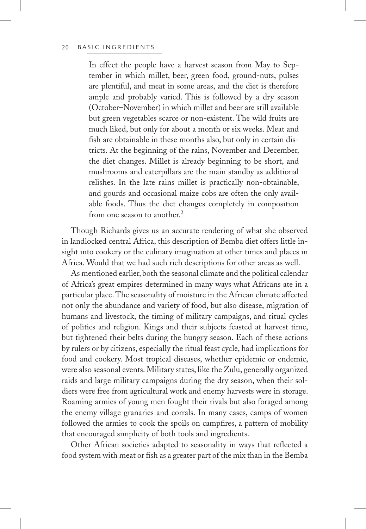In effect the people have a harvest season from May to September in which millet, beer, green food, ground-nuts, pulses are plentiful, and meat in some areas, and the diet is therefore ample and probably varied. This is followed by a dry season (October–November) in which millet and beer are still available but green vegetables scarce or non-existent. The wild fruits are much liked, but only for about a month or six weeks. Meat and fish are obtainable in these months also, but only in certain districts. At the beginning of the rains, November and December, the diet changes. Millet is already beginning to be short, and mushrooms and caterpillars are the main standby as additional relishes. In the late rains millet is practically non-obtainable, and gourds and occasional maize cobs are often the only available foods. Thus the diet changes completely in composition from one season to another  $2$ 

Though Richards gives us an accurate rendering of what she observed in landlocked central Africa, this description of Bemba diet offers little insight into cookery or the culinary imagination at other times and places in Africa. Would that we had such rich descriptions for other areas as well.

As mentioned earlier, both the seasonal climate and the political calendar of Africa's great empires determined in many ways what Africans ate in a particular place. The seasonality of moisture in the African climate affected not only the abundance and variety of food, but also disease, migration of humans and livestock, the timing of military campaigns, and ritual cycles of politics and religion. Kings and their subjects feasted at harvest time, but tightened their belts during the hungry season. Each of these actions by rulers or by citizens, especially the ritual feast cycle, had implications for food and cookery. Most tropical diseases, whether epidemic or endemic, were also seasonal events. Military states, like the Zulu, generally organized raids and large military campaigns during the dry season, when their soldiers were free from agricultural work and enemy harvests were in storage. Roaming armies of young men fought their rivals but also foraged among the enemy village granaries and corrals. In many cases, camps of women followed the armies to cook the spoils on campfires, a pattern of mobility that encouraged simplicity of both tools and ingredients.

Other African societies adapted to seasonality in ways that reflected a food system with meat or fish as a greater part of the mix than in the Bemba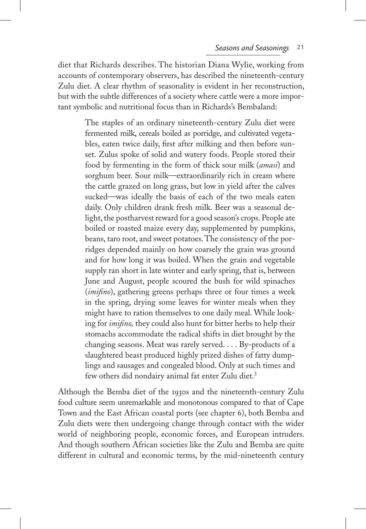diet that Richards describes. The historian Diana Wylie, working from accounts of contemporary observers, has described the nineteenth-century Zulu diet. A clear rhythm of seasonality is evident in her reconstruction, but with the subtle differences of a society where cattle were a more important symbolic and nutritional focus than in Richards's Bembaland:

> The staples of an ordinary nineteenth-century Zulu diet were fermented milk, cereals boiled as porridge, and cultivated vegetables, eaten twice daily, first after milking and then before sunset. Zulus spoke of solid and watery foods. People stored their food by fermenting in the form of thick sour milk (*amasi*) and sorghum beer. Sour milk—extraordinarily rich in cream where the cattle grazed on long grass, but low in yield after the calves sucked—was ideally the basis of each of the two meals eaten daily. Only children drank fresh milk. Beer was a seasonal delight, the postharvest reward for a good season's crops. People ate boiled or roasted maize every day, supplemented by pumpkins, beans, taro root, and sweet potatoes. The consistency of the porridges depended mainly on how coarsely the grain was ground and for how long it was boiled. When the grain and vegetable supply ran short in late winter and early spring, that is, between June and August, people scoured the bush for wild spinaches (*imifino*), gathering greens perhaps three or four times a week in the spring, drying some leaves for winter meals when they might have to ration themselves to one daily meal. While looking for *imifino,* they could also hunt for bitter herbs to help their stomachs accommodate the radical shifts in diet brought by the changing seasons. Meat was rarely served. . . . By-products of a slaughtered beast produced highly prized dishes of fatty dumplings and sausages and congealed blood. Only at such times and few others did nondairy animal fat enter Zulu diet.<sup>3</sup>

Although the Bemba diet of the 1930s and the nineteenth-century Zulu food culture seem unremarkable and monotonous compared to that of Cape Town and the East African coastal ports (see chapter 6), both Bemba and Zulu diets were then undergoing change through contact with the wider world of neighboring people, economic forces, and European intruders. And though southern African societies like the Zulu and Bemba are quite different in cultural and economic terms, by the mid-nineteenth century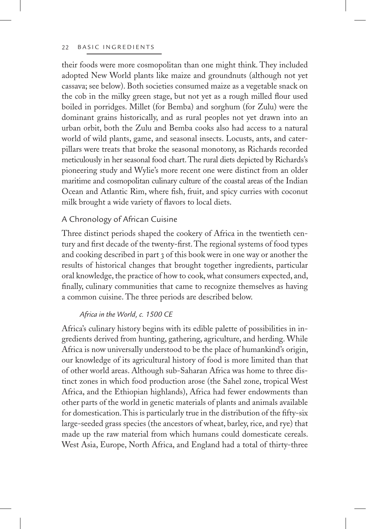their foods were more cosmopolitan than one might think. They included adopted New World plants like maize and groundnuts (although not yet cassava; see below). Both societies consumed maize as a vegetable snack on the cob in the milky green stage, but not yet as a rough milled flour used boiled in porridges. Millet (for Bemba) and sorghum (for Zulu) were the dominant grains historically, and as rural peoples not yet drawn into an urban orbit, both the Zulu and Bemba cooks also had access to a natural world of wild plants, game, and seasonal insects. Locusts, ants, and caterpillars were treats that broke the seasonal monotony, as Richards recorded meticulously in her seasonal food chart. The rural diets depicted by Richards's pioneering study and Wylie's more recent one were distinct from an older maritime and cosmopolitan culinary culture of the coastal areas of the Indian Ocean and Atlantic Rim, where fish, fruit, and spicy curries with coconut milk brought a wide variety of flavors to local diets.

## A Chronology of African Cuisine

Three distinct periods shaped the cookery of Africa in the twentieth century and first decade of the twenty-first. The regional systems of food types and cooking described in part 3 of this book were in one way or another the results of historical changes that brought together ingredients, particular oral knowledge, the practice of how to cook, what consumers expected, and, finally, culinary communities that came to recognize themselves as having a common cuisine. The three periods are described below.

## *Africa in the World, c. 1500 CE*

Africa's culinary history begins with its edible palette of possibilities in ingredients derived from hunting, gathering, agriculture, and herding. While Africa is now universally understood to be the place of humankind's origin, our knowledge of its agricultural history of food is more limited than that of other world areas. Although sub-Saharan Africa was home to three distinct zones in which food production arose (the Sahel zone, tropical West Africa, and the Ethiopian highlands), Africa had fewer endowments than other parts of the world in genetic materials of plants and animals available for domestication. This is particularly true in the distribution of the fifty-six large-seeded grass species (the ancestors of wheat, barley, rice, and rye) that made up the raw material from which humans could domesticate cereals. West Asia, Europe, North Africa, and England had a total of thirty-three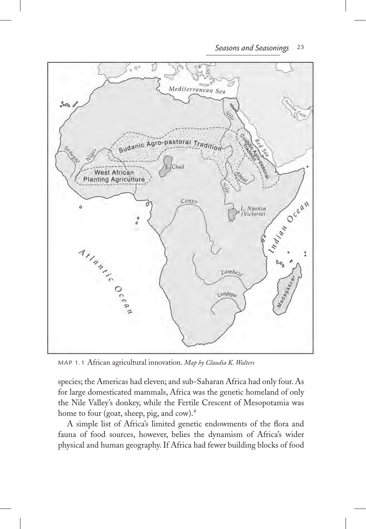

Map 1.1 African agricultural innovation. *Map by Claudia K. Walters*

species; the Americas had eleven; and sub-Saharan Africa had only four. As for large domesticated mammals, Africa was the genetic homeland of only the Nile Valley's donkey, while the Fertile Crescent of Mesopotamia was home to four (goat, sheep, pig, and cow).<sup>4</sup>

A simple list of Africa's limited genetic endowments of the flora and fauna of food sources, however, belies the dynamism of Africa's wider physical and human geography. If Africa had fewer building blocks of food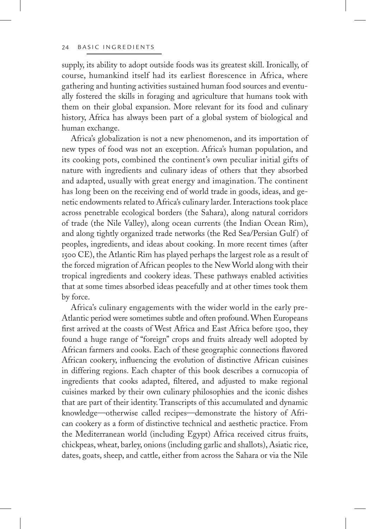supply, its ability to adopt outside foods was its greatest skill. Ironically, of course, humankind itself had its earliest florescence in Africa, where gathering and hunting activities sustained human food sources and eventually fostered the skills in foraging and agriculture that humans took with them on their global expansion. More relevant for its food and culinary history, Africa has always been part of a global system of biological and human exchange.

Africa's globalization is not a new phenomenon, and its importation of new types of food was not an exception. Africa's human population, and its cooking pots, combined the continent's own peculiar initial gifts of nature with ingredients and culinary ideas of others that they absorbed and adapted, usually with great energy and imagination. The continent has long been on the receiving end of world trade in goods, ideas, and genetic endowments related to Africa's culinary larder. Interactions took place across penetrable ecological borders (the Sahara), along natural corridors of trade (the Nile Valley), along ocean currents (the Indian Ocean Rim), and along tightly organized trade networks (the Red Sea/Persian Gulf) of peoples, ingredients, and ideas about cooking. In more recent times (after 1500 CE), the Atlantic Rim has played perhaps the largest role as a result of the forced migration of African peoples to the New World along with their tropical ingredients and cookery ideas. These pathways enabled activities that at some times absorbed ideas peacefully and at other times took them by force.

Africa's culinary engagements with the wider world in the early pre-Atlantic period were sometimes subtle and often profound. When Europeans first arrived at the coasts of West Africa and East Africa before 1500, they found a huge range of "foreign" crops and fruits already well adopted by African farmers and cooks. Each of these geographic connections flavored African cookery, influencing the evolution of distinctive African cuisines in differing regions. Each chapter of this book describes a cornucopia of ingredients that cooks adapted, filtered, and adjusted to make regional cuisines marked by their own culinary philosophies and the iconic dishes that are part of their identity. Transcripts of this accumulated and dynamic knowledge—otherwise called recipes—demonstrate the history of African cookery as a form of distinctive technical and aesthetic practice. From the Mediterranean world (including Egypt) Africa received citrus fruits, chickpeas, wheat, barley, onions (including garlic and shallots), Asiatic rice, dates, goats, sheep, and cattle, either from across the Sahara or via the Nile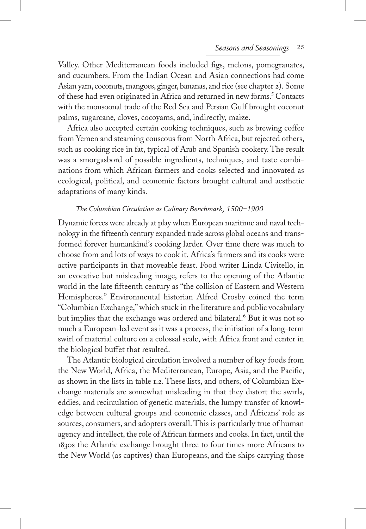Valley. Other Mediterranean foods included figs, melons, pomegranates, and cucumbers. From the Indian Ocean and Asian connections had come Asian yam, coconuts, mangoes, ginger, bananas, and rice (see chapter 2). Some of these had even originated in Africa and returned in new forms.<sup>5</sup> Contacts with the monsoonal trade of the Red Sea and Persian Gulf brought coconut palms, sugarcane, cloves, cocoyams, and, indirectly, maize.

Africa also accepted certain cooking techniques, such as brewing coffee from Yemen and steaming couscous from North Africa, but rejected others, such as cooking rice in fat, typical of Arab and Spanish cookery. The result was a smorgasbord of possible ingredients, techniques, and taste combinations from which African farmers and cooks selected and innovated as ecological, political, and economic factors brought cultural and aesthetic adaptations of many kinds.

## *The Columbian Circulation as Culinary Benchmark, 1500–1900*

Dynamic forces were already at play when European maritime and naval technology in the fifteenth century expanded trade across global oceans and transformed forever humankind's cooking larder. Over time there was much to choose from and lots of ways to cook it. Africa's farmers and its cooks were active participants in that moveable feast. Food writer Linda Civitello, in an evocative but misleading image, refers to the opening of the Atlantic world in the late fifteenth century as "the collision of Eastern and Western Hemispheres." Environmental historian Alfred Crosby coined the term "Columbian Exchange," which stuck in the literature and public vocabulary but implies that the exchange was ordered and bilateral.<sup>6</sup> But it was not so much a European-led event as it was a process, the initiation of a long-term swirl of material culture on a colossal scale, with Africa front and center in the biological buffet that resulted.

The Atlantic biological circulation involved a number of key foods from the New World, Africa, the Mediterranean, Europe, Asia, and the Pacific, as shown in the lists in table 1.2. These lists, and others, of Columbian Exchange materials are somewhat misleading in that they distort the swirls, eddies, and recirculation of genetic materials, the lumpy transfer of knowledge between cultural groups and economic classes, and Africans' role as sources, consumers, and adopters overall. This is particularly true of human agency and intellect, the role of African farmers and cooks. In fact, until the 1830s the Atlantic exchange brought three to four times more Africans to the New World (as captives) than Europeans, and the ships carrying those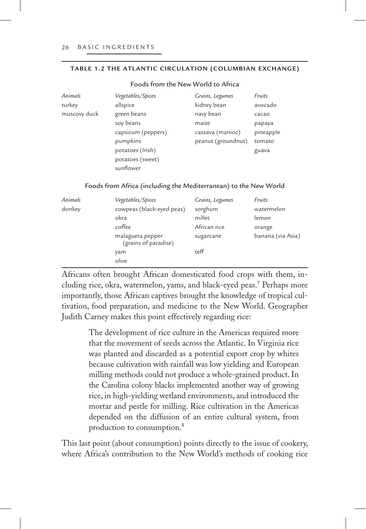#### **Table 1.2 The Atlantic Circulation (Columbian Exchange)**

| Animals      | Vegetables/Spices  | Grains, Legumes    | Fruits    |
|--------------|--------------------|--------------------|-----------|
| turkey       | allspice           | kidney bean        | avocado   |
| muscovy duck | green beans        | navy bean          | cacao     |
|              | soy beans          | maize              | papaya    |
|              | capsicum (peppers) | cassava (manioc)   | pineapple |
|              | pumpkins           | peanut (groundnut) | tomato    |
|              | potatoes (Irish)   |                    | guava     |
|              | potatoes (sweet)   |                    |           |
|              | sunflower          |                    |           |
|              |                    |                    |           |

#### Foods from the New World to Africa

#### Foods from Africa (including the Mediterranean) to the New World

| Animals | Vegetables/Spices                        | Grains, Legumes | Fruits            |  |  |
|---------|------------------------------------------|-----------------|-------------------|--|--|
| donkey  | cowpeas (black-eyed peas)                | sorghum         | watermelon        |  |  |
|         | okra                                     | millet          | lemon             |  |  |
|         | coffee                                   | African rice    | orange            |  |  |
|         | malagueta pepper<br>(grains of paradise) | sugarcane       | banana (via Asia) |  |  |
|         | yam                                      | teff            |                   |  |  |
|         | olive                                    |                 |                   |  |  |

Africans often brought African domesticated food crops with them, including rice, okra, watermelon, yams, and black-eyed peas.<sup>7</sup> Perhaps more importantly, those African captives brought the knowledge of tropical cultivation, food preparation, and medicine to the New World. Geographer Judith Carney makes this point effectively regarding rice:

> The development of rice culture in the Americas required more that the movement of seeds across the Atlantic. In Virginia rice was planted and discarded as a potential export crop by whites because cultivation with rainfall was low yielding and European milling methods could not produce a whole-grained product. In the Carolina colony blacks implemented another way of growing rice, in high-yielding wetland environments, and introduced the mortar and pestle for milling. Rice cultivation in the Americas depended on the diffusion of an entire cultural system, from production to consumption.8

This last point (about consumption) points directly to the issue of cookery, where Africa's contribution to the New World's methods of cooking rice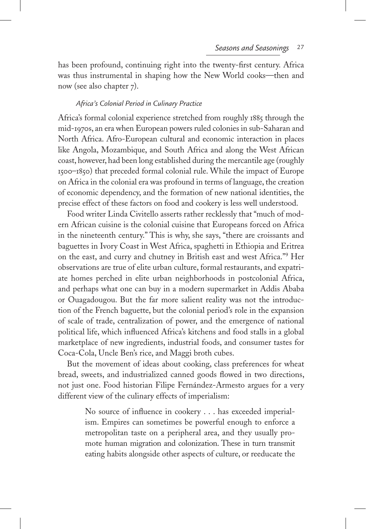has been profound, continuing right into the twenty-first century. Africa was thus instrumental in shaping how the New World cooks—then and now (see also chapter 7).

### *Africa's Colonial Period in Culinary Practice*

Africa's formal colonial experience stretched from roughly 1885 through the mid-1970s, an era when European powers ruled colonies in sub-Saharan and North Africa. Afro-European cultural and economic interaction in places like Angola, Mozambique, and South Africa and along the West African coast, however, had been long established during the mercantile age (roughly 1500–1850) that preceded formal colonial rule. While the impact of Europe on Africa in the colonial era was profound in terms of language, the creation of economic dependency, and the formation of new national identities, the precise effect of these factors on food and cookery is less well understood.

Food writer Linda Civitello asserts rather recklessly that "much of modern African cuisine is the colonial cuisine that Europeans forced on Africa in the nineteenth century." This is why, she says, "there are croissants and baguettes in Ivory Coast in West Africa, spaghetti in Ethiopia and Eritrea on the east, and curry and chutney in British east and west Africa."9 Her observations are true of elite urban culture, formal restaurants, and expatriate homes perched in elite urban neighborhoods in postcolonial Africa, and perhaps what one can buy in a modern supermarket in Addis Ababa or Ouagadougou. But the far more salient reality was not the introduction of the French baguette, but the colonial period's role in the expansion of scale of trade, centralization of power, and the emergence of national political life, which influenced Africa's kitchens and food stalls in a global marketplace of new ingredients, industrial foods, and consumer tastes for Coca-Cola, Uncle Ben's rice, and Maggi broth cubes.

But the movement of ideas about cooking, class preferences for wheat bread, sweets, and industrialized canned goods flowed in two directions, not just one. Food historian Filipe Fernández-Armesto argues for a very different view of the culinary effects of imperialism:

> No source of influence in cookery . . . has exceeded imperialism. Empires can sometimes be powerful enough to enforce a metropolitan taste on a peripheral area, and they usually promote human migration and colonization. These in turn transmit eating habits alongside other aspects of culture, or reeducate the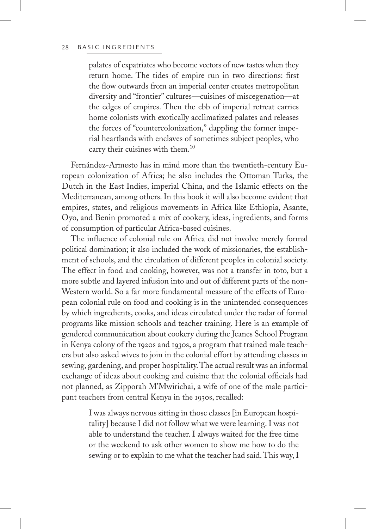palates of expatriates who become vectors of new tastes when they return home. The tides of empire run in two directions: first the flow outwards from an imperial center creates metropolitan diversity and "frontier" cultures—cuisines of miscegenation—at the edges of empires. Then the ebb of imperial retreat carries home colonists with exotically acclimatized palates and releases the forces of "countercolonization," dappling the former imperial heartlands with enclaves of sometimes subject peoples, who carry their cuisines with them.<sup>10</sup>

Fernández-Armesto has in mind more than the twentieth-century European colonization of Africa; he also includes the Ottoman Turks, the Dutch in the East Indies, imperial China, and the Islamic effects on the Mediterranean, among others. In this book it will also become evident that empires, states, and religious movements in Africa like Ethiopia, Asante, Oyo, and Benin promoted a mix of cookery, ideas, ingredients, and forms of consumption of particular Africa-based cuisines.

The influence of colonial rule on Africa did not involve merely formal political domination; it also included the work of missionaries, the establishment of schools, and the circulation of different peoples in colonial society. The effect in food and cooking, however, was not a transfer in toto, but a more subtle and layered infusion into and out of different parts of the non-Western world. So a far more fundamental measure of the effects of European colonial rule on food and cooking is in the unintended consequences by which ingredients, cooks, and ideas circulated under the radar of formal programs like mission schools and teacher training. Here is an example of gendered communication about cookery during the Jeanes School Program in Kenya colony of the 1920s and 1930s, a program that trained male teachers but also asked wives to join in the colonial effort by attending classes in sewing, gardening, and proper hospitality. The actual result was an informal exchange of ideas about cooking and cuisine that the colonial officials had not planned, as Zipporah M'Mwirichai, a wife of one of the male participant teachers from central Kenya in the 1930s, recalled:

> I was always nervous sitting in those classes [in European hospitality] because I did not follow what we were learning. I was not able to understand the teacher. I always waited for the free time or the weekend to ask other women to show me how to do the sewing or to explain to me what the teacher had said. This way, I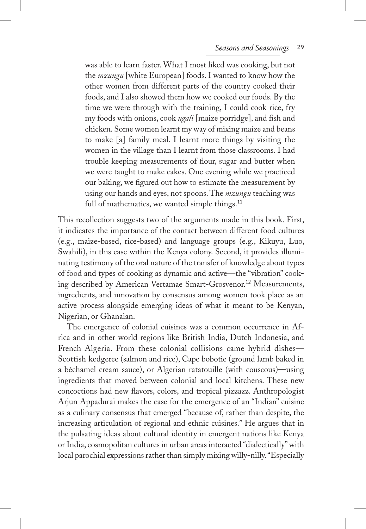was able to learn faster. What I most liked was cooking, but not the *mzungu* [white European] foods. I wanted to know how the other women from different parts of the country cooked their foods, and I also showed them how we cooked our foods. By the time we were through with the training, I could cook rice, fry my foods with onions, cook *ugali* [maize porridge], and fish and chicken. Some women learnt my way of mixing maize and beans to make [a] family meal. I learnt more things by visiting the women in the village than I learnt from those classrooms. I had trouble keeping measurements of flour, sugar and butter when we were taught to make cakes. One evening while we practiced our baking, we figured out how to estimate the measurement by using our hands and eyes, not spoons. The *mzungu* teaching was full of mathematics, we wanted simple things. $11$ 

This recollection suggests two of the arguments made in this book. First, it indicates the importance of the contact between different food cultures (e.g., maize-based, rice-based) and language groups (e.g., Kikuyu, Luo, Swahili), in this case within the Kenya colony. Second, it provides illuminating testimony of the oral nature of the transfer of knowledge about types of food and types of cooking as dynamic and active—the "vibration" cooking described by American Vertamae Smart-Grosvenor.<sup>12</sup> Measurements, ingredients, and innovation by consensus among women took place as an active process alongside emerging ideas of what it meant to be Kenyan, Nigerian, or Ghanaian.

The emergence of colonial cuisines was a common occurrence in Africa and in other world regions like British India, Dutch Indonesia, and French Algeria. From these colonial collisions came hybrid dishes— Scottish kedgeree (salmon and rice), Cape bobotie (ground lamb baked in a béchamel cream sauce), or Algerian ratatouille (with couscous)—using ingredients that moved between colonial and local kitchens. These new concoctions had new flavors, colors, and tropical pizzazz. Anthropologist Arjun Appadurai makes the case for the emergence of an "Indian" cuisine as a culinary consensus that emerged "because of, rather than despite, the increasing articulation of regional and ethnic cuisines." He argues that in the pulsating ideas about cultural identity in emergent nations like Kenya or India, cosmopolitan cultures in urban areas interacted "dialectically" with local parochial expressions rather than simply mixing willy-nilly. "Especially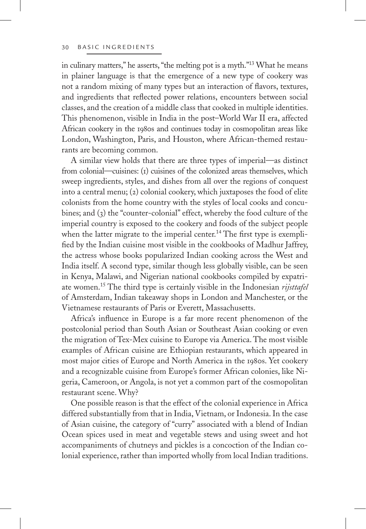in culinary matters," he asserts, "the melting pot is a myth."13 What he means in plainer language is that the emergence of a new type of cookery was not a random mixing of many types but an interaction of flavors, textures, and ingredients that reflected power relations, encounters between social classes, and the creation of a middle class that cooked in multiple identities. This phenomenon, visible in India in the post–World War II era, affected African cookery in the 1980s and continues today in cosmopolitan areas like London, Washington, Paris, and Houston, where African-themed restaurants are becoming common.

A similar view holds that there are three types of imperial—as distinct from colonial—cuisines: (1) cuisines of the colonized areas themselves, which sweep ingredients, styles, and dishes from all over the regions of conquest into a central menu; (2) colonial cookery, which juxtaposes the food of elite colonists from the home country with the styles of local cooks and concubines; and (3) the "counter-colonial" effect, whereby the food culture of the imperial country is exposed to the cookery and foods of the subject people when the latter migrate to the imperial center.<sup>14</sup> The first type is exemplified by the Indian cuisine most visible in the cookbooks of Madhur Jaffrey, the actress whose books popularized Indian cooking across the West and India itself. A second type, similar though less globally visible, can be seen in Kenya, Malawi, and Nigerian national cookbooks compiled by expatriate women.15 The third type is certainly visible in the Indonesian *rijsttafel*  of Amsterdam, Indian takeaway shops in London and Manchester, or the Vietnamese restaurants of Paris or Everett, Massachusetts.

Africa's influence in Europe is a far more recent phenomenon of the postcolonial period than South Asian or Southeast Asian cooking or even the migration of Tex-Mex cuisine to Europe via America. The most visible examples of African cuisine are Ethiopian restaurants, which appeared in most major cities of Europe and North America in the 1980s. Yet cookery and a recognizable cuisine from Europe's former African colonies, like Nigeria, Cameroon, or Angola, is not yet a common part of the cosmopolitan restaurant scene. Why?

One possible reason is that the effect of the colonial experience in Africa differed substantially from that in India, Vietnam, or Indonesia. In the case of Asian cuisine, the category of "curry" associated with a blend of Indian Ocean spices used in meat and vegetable stews and using sweet and hot accompaniments of chutneys and pickles is a concoction of the Indian colonial experience, rather than imported wholly from local Indian traditions.